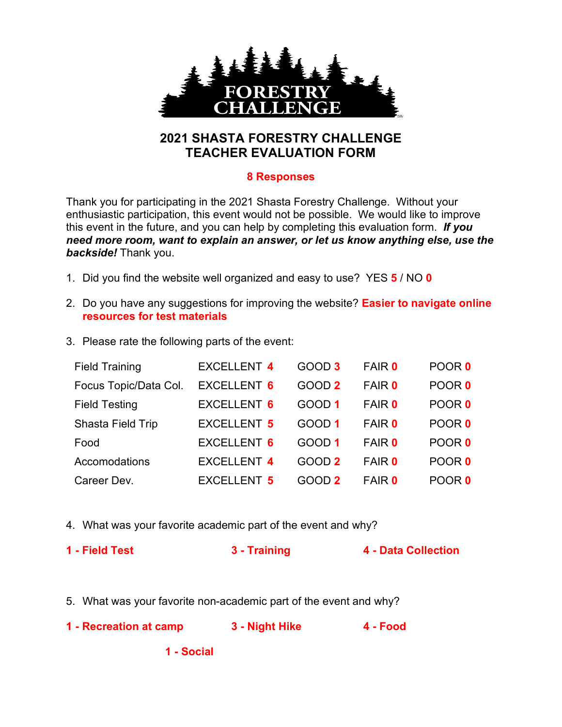

## **2021 SHASTA FORESTRY CHALLENGE TEACHER EVALUATION FORM**

## **8 Responses**

Thank you for participating in the 2021 Shasta Forestry Challenge. Without your enthusiastic participation, this event would not be possible. We would like to improve this event in the future, and you can help by completing this evaluation form. *If you need more room, want to explain an answer, or let us know anything else, use the backside!* Thank you.

- 1. Did you find the website well organized and easy to use? YES **5** / NO **0**
- 2. Do you have any suggestions for improving the website? **Easier to navigate online resources for test materials**
- 3. Please rate the following parts of the event:

| <b>Field Training</b> | <b>EXCELLENT 4</b> | GOOD 3 | <b>FAIR 0</b> | POOR 0 |
|-----------------------|--------------------|--------|---------------|--------|
| Focus Topic/Data Col. | <b>EXCELLENT 6</b> | GOOD 2 | <b>FAIR 0</b> | POOR 0 |
| <b>Field Testing</b>  | <b>EXCELLENT 6</b> | GOOD 1 | <b>FAIR 0</b> | POOR 0 |
| Shasta Field Trip     | <b>EXCELLENT 5</b> | GOOD 1 | <b>FAIR 0</b> | POOR 0 |
| Food                  | <b>EXCELLENT 6</b> | GOOD 1 | <b>FAIR 0</b> | POOR 0 |
| Accomodations         | <b>EXCELLENT 4</b> | GOOD 2 | <b>FAIR 0</b> | POOR 0 |
| Career Dev.           | <b>EXCELLENT 5</b> | GOOD 2 | <b>FAIR 0</b> | POOR 0 |

- 4. What was your favorite academic part of the event and why?
- **1 - Field Test 3 - Training 4 - Data Collection**
- 5. What was your favorite non-academic part of the event and why?
- **1 - Recreation at camp 3 - Night Hike 4 - Food**

**1 - Social**